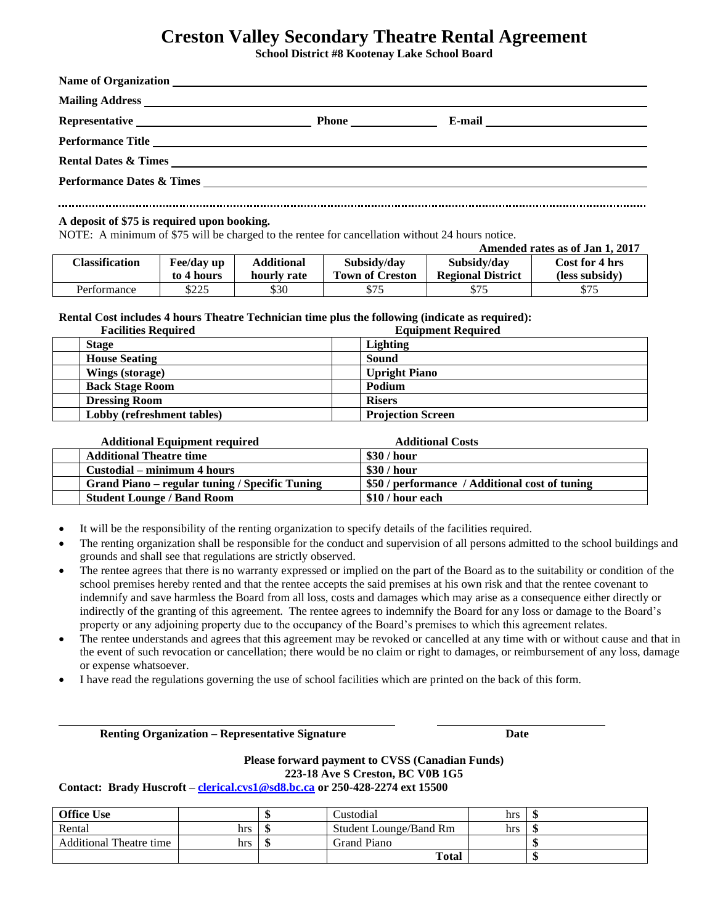# **Creston Valley Secondary Theatre Rental Agreement**

**School District #8 Kootenay Lake School Board**

| <b>Name of Organization</b>                                                                                                                                                                                                    |              | <u> 1989 - Jan James Stein, Amerikaansk politiker († 1908)</u> |  |
|--------------------------------------------------------------------------------------------------------------------------------------------------------------------------------------------------------------------------------|--------------|----------------------------------------------------------------|--|
|                                                                                                                                                                                                                                |              |                                                                |  |
| Representative Lawrence and the contract of the contract of the contract of the contract of the contract of the contract of the contract of the contract of the contract of the contract of the contract of the contract of th | <b>Phone</b> |                                                                |  |
| Performance Title                                                                                                                                                                                                              |              |                                                                |  |
| <b>Rental Dates &amp; Times</b>                                                                                                                                                                                                |              | <u> 1989 - Andrea Stadt Britain, fransk politik (d. 1989)</u>  |  |
| Performance Dates & Times League and the contract of the contract of the contract of the contract of the contract of the contract of the contract of the contract of the contract of the contract of the contract of the contr |              |                                                                |  |
|                                                                                                                                                                                                                                |              |                                                                |  |
|                                                                                                                                                                                                                                |              |                                                                |  |

#### **A deposit of \$75 is required upon booking.**

NOTE: A minimum of \$75 will be charged to the rentee for cancellation without 24 hours notice.

| Amended rates as of Jan 1, 2017 |            |                   |                        |                          |                |
|---------------------------------|------------|-------------------|------------------------|--------------------------|----------------|
| Classification                  | Fee/day up | <b>Additional</b> | Subsidy/day            | Subsidy/day              | Cost for 4 hrs |
|                                 | to 4 hours | hourly rate       | <b>Town of Creston</b> | <b>Regional District</b> | (less subsidy) |
| Performance                     | \$225      | \$30              | \$75                   | \$75                     | \$75           |

**Rental Cost includes 4 hours Theatre Technician time plus the following (indicate as required):**

| <b>Facilities Required</b> | <b>Equipment Required</b> |
|----------------------------|---------------------------|
| <b>Stage</b>               | <b>Lighting</b>           |
| <b>House Seating</b>       | Sound                     |
| Wings (storage)            | <b>Upright Piano</b>      |
| <b>Back Stage Room</b>     | Podium                    |
| <b>Dressing Room</b>       | <b>Risers</b>             |
| Lobby (refreshment tables) | <b>Projection Screen</b>  |

| <b>Additional Equipment required</b>           | <b>Additional Costs</b>                        |
|------------------------------------------------|------------------------------------------------|
| <b>Additional Theatre time</b>                 | \$30 / hour                                    |
| Custodial – minimum 4 hours                    | \$30 / hour                                    |
| Grand Piano – regular tuning / Specific Tuning | \$50 / performance / Additional cost of tuning |
| <b>Student Lounge / Band Room</b>              | \$10 / hour each                               |

- It will be the responsibility of the renting organization to specify details of the facilities required.
- The renting organization shall be responsible for the conduct and supervision of all persons admitted to the school buildings and grounds and shall see that regulations are strictly observed.
- The rentee agrees that there is no warranty expressed or implied on the part of the Board as to the suitability or condition of the school premises hereby rented and that the rentee accepts the said premises at his own risk and that the rentee covenant to indemnify and save harmless the Board from all loss, costs and damages which may arise as a consequence either directly or indirectly of the granting of this agreement. The rentee agrees to indemnify the Board for any loss or damage to the Board's property or any adjoining property due to the occupancy of the Board's premises to which this agreement relates.
- The rentee understands and agrees that this agreement may be revoked or cancelled at any time with or without cause and that in the event of such revocation or cancellation; there would be no claim or right to damages, or reimbursement of any loss, damage or expense whatsoever.
- I have read the regulations governing the use of school facilities which are printed on the back of this form.

**Renting Organization – Representative Signature Date Channel Constant Channel Date** 

### **Please forward payment to CVSS (Canadian Funds) 223-18 Ave S Creston, BC V0B 1G5**

**Contact: Brady Huscroft – [clerical.cvs1@sd8.bc.ca](mailto:clerical.cvs1@sd8.bc.ca) or 250-428-2274 ext 15500**

| <b>Office Use</b>              |     |    | Custodial              | hrs |  |
|--------------------------------|-----|----|------------------------|-----|--|
| Rental                         | hrs | ъD | Student Lounge/Band Rm | hrs |  |
| <b>Additional Theatre time</b> | hrs | ۰п | Grand Piano            |     |  |
|                                |     |    | <b>Total</b>           |     |  |